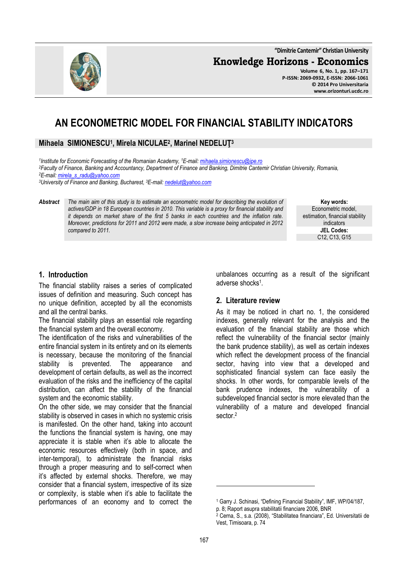167

l

**"Dimitrie Cantemir" Christian University**

**Knowledge Horizons - Economics**

**Volume 6, No. 1, pp. 167–171 P-ISSN: 2069-0932, E-ISSN: 2066-1061 © 2014 Pro Universitaria www.orizonturi.ucdc.ro**

# **AN ECONOMETRIC MODEL FOR FINANCIAL STABILITY INDICATORS**

**Mihaela SIMIONESCU<sup>1</sup> , Mirela NICULAE<sup>2</sup> , Marinel NEDELUŢ<sup>3</sup>**

*1 Institute for Economic Forecasting of the Romanian Academy, <sup>1</sup>E-mail: mihaela.simionescu@ipe.ro <sup>2</sup>Faculty of Finance, Banking and Accountancy, Department of Finance and Banking, Dimitrie Cantemir Christian University, Romania, <sup>2</sup>E-mail: mirela\_s\_radu@yahoo.com*

*<sup>3</sup>University of Finance and Banking, Bucharest, <sup>3</sup>E-mail: nedelut@yahoo.com*

*Abstract The main aim of this study is to estimate an econometric model for describing the evolution of actives/GDP in 18 European countries in 2010. This variable is a proxy for financial stability and it depends on market share of the first 5 banks in each countries and the inflation rate. Moreover, predictions for 2011 and 2012 were made, a slow increase being anticipated in 2012 compared to 2011.* 

> unbalances occurring as a result of the significant adverse shocks<sup>1</sup>.

#### **2. Literature review**

As it may be noticed in chart no. 1, the considered indexes, generally relevant for the analysis and the evaluation of the financial stability are those which reflect the vulnerability of the financial sector (mainly the bank prudence stability), as well as certain indexes which reflect the development process of the financial sector, having into view that a developed and sophisticated financial system can face easily the shocks. In other words, for comparable levels of the bank prudence indexes, the vulnerability of a subdeveloped financial sector is more elevated than the vulnerability of a mature and developed financial sector.<sup>2</sup>

#### **1. Introduction**

The financial stability raises a series of complicated issues of definition and measuring. Such concept has no unique definition, accepted by all the economists and all the central banks.

The financial stability plays an essential role regarding the financial system and the overall economy.

The identification of the risks and vulnerabilities of the entire financial system in its entirety and on its elements is necessary, because the monitoring of the financial stability is prevented. The appearance and development of certain defaults, as well as the incorrect evaluation of the risks and the inefficiency of the capital distribution, can affect the stability of the financial system and the economic stability.

On the other side, we may consider that the financial stability is observed in cases in which no systemic crisis is manifested. On the other hand, taking into account the functions the financial system is having, one may appreciate it is stable when it's able to allocate the economic resources effectively (both in space, and inter-temporal), to administrate the financial risks through a proper measuring and to self-correct when it's affected by external shocks. Therefore, we may consider that a financial system, irrespective of its size or complexity, is stable when it's able to facilitate the performances of an economy and to correct the

**Key words:** Econometric model, estimation, financial stability indicators **JEL Codes:** C12, C13, G15



<sup>1</sup> Garry J. Schinasi, "Defining Financial Stability", IMF, WP/04/187,

p. 8; Raport asupra stabilitatii financiare 2006, BNR

<sup>2</sup> Cerna, S., s.a. (2008), "Stabilitatea financiara", Ed. Universitatii de Vest, Timisoara, p. 74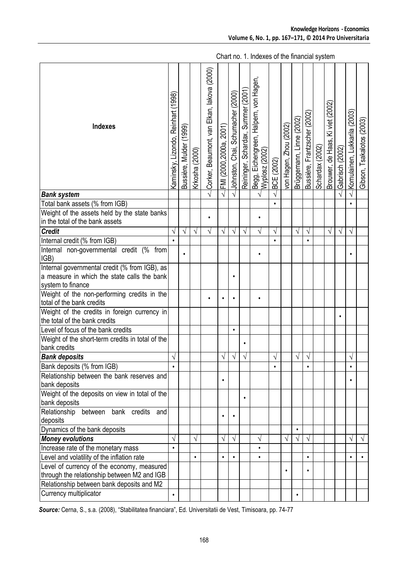| <b>Indexes</b>                                                                            | Kaminsky, Lizondo, Reinhart (1998) | (1999)<br>Bussière, Mulder | Krkosha (2000) | Corker, Beaumont, van Elkan, lakova (2000) |           | .<br> FMI (2000,2000а, 2001)<br> Johnston, Chai, Schumacher (2000) | Reininger, Schardax, Summer (2001) | Begg, Eichengreen, Halpem, von Hagen,<br>Wyplosz (2002) | BCE (2002) | von Hagen, Zhou (2002) | Brüggemann, Linne (2002) | Bussière, Frantzscher (2002) | Schardax (2002) | Brouwer, de Haas, Ki viet (2002) | Gabrisch (2002) | Komulainen, Lukkarila (2003) | Cibson, Tsakalotos (2003) |
|-------------------------------------------------------------------------------------------|------------------------------------|----------------------------|----------------|--------------------------------------------|-----------|--------------------------------------------------------------------|------------------------------------|---------------------------------------------------------|------------|------------------------|--------------------------|------------------------------|-----------------|----------------------------------|-----------------|------------------------------|---------------------------|
| <b>Bank system</b>                                                                        |                                    |                            |                |                                            |           |                                                                    |                                    |                                                         |            |                        |                          |                              |                 |                                  |                 |                              |                           |
| Total bank assets (% from IGB)                                                            |                                    |                            |                |                                            |           |                                                                    |                                    |                                                         |            |                        |                          |                              |                 |                                  |                 |                              |                           |
| Weight of the assets held by the state banks<br>in the total of the bank assets           |                                    |                            |                | $\bullet$                                  |           |                                                                    |                                    | $\bullet$                                               |            |                        |                          |                              |                 |                                  |                 |                              |                           |
| <b>Credit</b>                                                                             | $\sqrt{}$                          | $\sqrt{ }$                 | $\sqrt{}$      | $\sqrt{}$                                  | $\sqrt{}$ | $\sqrt{}$                                                          | $\sqrt{}$                          | $\sqrt{ }$                                              | $\sqrt{}$  |                        | $\sqrt{}$                | $\sqrt{}$                    |                 | $\sqrt{}$                        | $\sqrt{ }$      | $\sqrt{}$                    |                           |
| Internal credit (% from IGB)                                                              |                                    |                            |                |                                            |           |                                                                    |                                    |                                                         | $\bullet$  |                        |                          |                              |                 |                                  |                 |                              |                           |
| Internal non-governmental credit (% from<br>IGB)                                          |                                    |                            |                |                                            |           |                                                                    |                                    |                                                         |            |                        |                          |                              |                 |                                  |                 |                              |                           |
| Internal governmental credit (% from IGB), as                                             |                                    |                            |                |                                            |           |                                                                    |                                    |                                                         |            |                        |                          |                              |                 |                                  |                 |                              |                           |
| a measure in which the state calls the bank<br>system to finance                          |                                    |                            |                |                                            |           | $\bullet$                                                          |                                    |                                                         |            |                        |                          |                              |                 |                                  |                 |                              |                           |
| Weight of the non-performing credits in the<br>total of the bank credits                  |                                    |                            |                | $\bullet$                                  |           |                                                                    |                                    |                                                         |            |                        |                          |                              |                 |                                  |                 |                              |                           |
| Weight of the credits in foreign currency in<br>the total of the bank credits             |                                    |                            |                |                                            |           |                                                                    |                                    |                                                         |            |                        |                          |                              |                 |                                  | $\bullet$       |                              |                           |
| Level of focus of the bank credits                                                        |                                    |                            |                |                                            |           | $\bullet$                                                          |                                    |                                                         |            |                        |                          |                              |                 |                                  |                 |                              |                           |
| Weight of the short-term credits in total of the<br>bank credits                          |                                    |                            |                |                                            |           |                                                                    | $\bullet$                          |                                                         |            |                        |                          |                              |                 |                                  |                 |                              |                           |
| <b>Bank deposits</b>                                                                      | V                                  |                            |                |                                            | $\sqrt{}$ | $\sqrt{}$                                                          | $\sqrt{}$                          |                                                         | V          |                        | $\sqrt{}$                | $\sqrt{}$                    |                 |                                  |                 | $\sqrt{}$                    |                           |
| Bank deposits (% from IGB)                                                                |                                    |                            |                |                                            |           |                                                                    |                                    |                                                         |            |                        |                          |                              |                 |                                  |                 |                              |                           |
| Relationship between the bank reserves and<br>bank deposits                               |                                    |                            |                |                                            |           |                                                                    |                                    |                                                         |            |                        |                          |                              |                 |                                  |                 |                              |                           |
| Weight of the deposits on view in total of the<br>bank deposits                           |                                    |                            |                |                                            |           |                                                                    | $\bullet$                          |                                                         |            |                        |                          |                              |                 |                                  |                 |                              |                           |
| Relationship between<br>bank credits<br>and<br>deposits                                   |                                    |                            |                |                                            | $\bullet$ | $\bullet$                                                          |                                    |                                                         |            |                        |                          |                              |                 |                                  |                 |                              |                           |
| Dynamics of the bank deposits                                                             |                                    |                            |                |                                            |           |                                                                    |                                    |                                                         |            |                        | $\bullet$                |                              |                 |                                  |                 |                              |                           |
| <b>Money evolutions</b>                                                                   | N                                  |                            | V              |                                            | V         | $\sqrt{}$                                                          |                                    | $\sqrt{}$                                               |            | V                      | V                        |                              |                 |                                  |                 | V                            | $\sqrt{ }$                |
| Increase rate of the monetary mass                                                        | $\bullet$                          |                            |                |                                            |           |                                                                    |                                    | $\bullet$                                               |            |                        |                          |                              |                 |                                  |                 |                              |                           |
| Level and volatility of the inflation rate                                                |                                    |                            |                |                                            | $\bullet$ | $\bullet$                                                          |                                    | $\bullet$                                               |            |                        |                          | $\bullet$                    |                 |                                  |                 |                              | $\bullet$                 |
| Level of currency of the economy, measured<br>through the relationship between M2 and IGB |                                    |                            |                |                                            |           |                                                                    |                                    |                                                         |            | $\bullet$              |                          |                              |                 |                                  |                 |                              |                           |
| Relationship between bank deposits and M2                                                 |                                    |                            |                |                                            |           |                                                                    |                                    |                                                         |            |                        |                          |                              |                 |                                  |                 |                              |                           |
| Currency multiplicator                                                                    | $\bullet$                          |                            |                |                                            |           |                                                                    |                                    |                                                         |            |                        |                          |                              |                 |                                  |                 |                              |                           |

Chart no. 1. Indexes of the financial system

*Source:* Cerna, S., s.a. (2008), "Stabilitatea financiara", Ed. Universitatii de Vest, Timisoara, pp. 74-77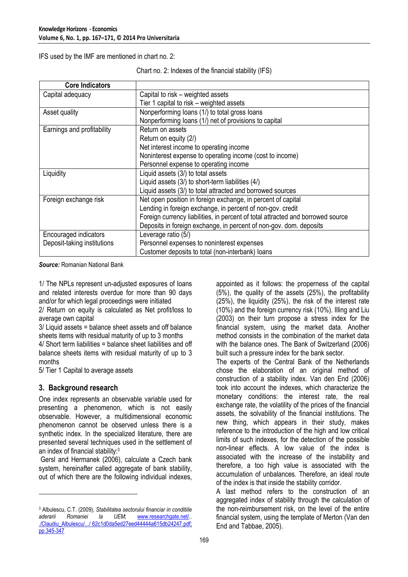IFS used by the IMF are mentioned in chart no. 2:

Chart no. 2: Indexes of the financial stability (IFS)

| <b>Core Indicators</b>      |                                                                                 |
|-----------------------------|---------------------------------------------------------------------------------|
| Capital adequacy            | Capital to risk – weighted assets                                               |
|                             | Tier 1 capital to risk – weighted assets                                        |
| Asset quality               | Nonperforming loans (1/) to total gross loans                                   |
|                             | Nonperforming loans (1/) net of provisions to capital                           |
| Earnings and profitability  | Return on assets                                                                |
|                             | Return on equity (2/)                                                           |
|                             | Net interest income to operating income                                         |
|                             | Noninterest expense to operating income (cost to income)                        |
|                             | Personnel expense to operating income                                           |
| Liquidity                   | Liquid assets (3/) to total assets                                              |
|                             | Liquid assets (3/) to short-term liabilities (4/)                               |
|                             | Liquid assets (3/) to total attracted and borrowed sources                      |
| Foreign exchange risk       | Net open position in foreign exchange, in percent of capital                    |
|                             | Lending in foreign exchange, in percent of non-gov. credit                      |
|                             | Foreign currency liabilities, in percent of total attracted and borrowed source |
|                             | Deposits in foreign exchange, in percent of non-gov. dom. deposits              |
| Encouraged indicators       | Leverage ratio (5/)                                                             |
| Deposit-taking institutions | Personnel expenses to noninterest expenses                                      |
|                             | Customer deposits to total (non-interbank) loans                                |

*Source:* Romanian National Bank

1/ The NPLs represent un-adjusted exposures of Ioans and related interests overdue for more than 90 days and/or for which legal proceedings were initiated

2/ Return on equity is calculated as Net profit/loss to average own capital

3/ Liquid assets = balance sheet assets and off balance sheets items with residual maturity of up to 3 months

4/ Short term liabilities = balance sheet liabilities and off balance sheets items with residual maturity of up to 3 months

5/ Tier 1 Capital to average assets

### **3. Background research**

l

One index represents an observable variable used for presenting a phenomenon, which is not easily observable. However, a multidimensional economic phenomenon cannot be observed unless there is a synthetic index. In the specialized literature, there are presented several techniques used in the settlement of an index of financial stability:<sup>3</sup>

 Gersl and Hermanek (2006), calculate a Czech bank system, hereinafter called aggregate of bank stability, out of which there are the following individual indexes,

appointed as it follows: the properness of the capital (5%), the quality of the assets (25%), the profitability (25%), the liquidity (25%), the risk of the interest rate (10%) and the foreign currency risk (10%). Illing and Liu (2003) on their turn propose a stress index for the financial system, using the market data. Another method consists in the combination of the market data with the balance ones. The Bank of Switzerland (2006) built such a pressure index for the bank sector.

The experts of the Central Bank of the Netherlands chose the elaboration of an original method of construction of a stability index. Van den End (2006) took into account the indexes, which characterize the monetary conditions: the interest rate, the real exchange rate, the volatility of the prices of the financial assets, the solvability of the financial institutions. The new thing, which appears in their study, makes reference to the introduction of the high and low critical limits of such indexes, for the detection of the possible non-linear effects. A low value of the index is associated with the increase of the instability and therefore, a too high value is associated with the accumulation of unbalances. Therefore, an ideal route of the index is that inside the stability corridor.

A last method refers to the construction of an aggregated index of stability through the calculation of the non-reimbursement risk, on the level of the entire financial system, using the template of Merton (Van den End and Tabbae, 2005).

<sup>3</sup> Albulescu, C.T. (2009), *Stabilitatea sectorului financiar in conditiile aderarii Romaniei la UEM*; www.researchgate.net/.. ./Claudiu\_Albulescu/.../ 62c1d0da5ed27eed44444a615db24247.pdf; pp.345-347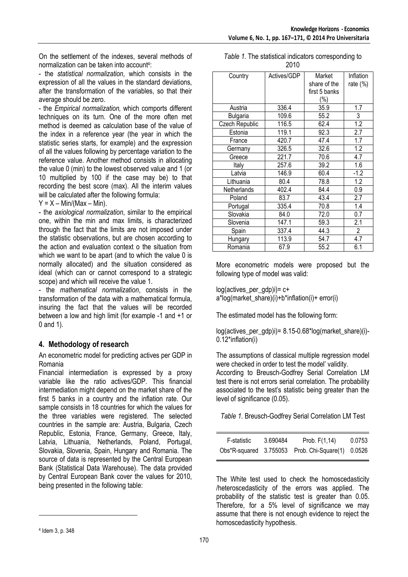On the settlement of the indexes, several methods of normalization can be taken into account<sup>4</sup>:

- the *statistical normalization*, which consists in the expression of all the values in the standard deviations, after the transformation of the variables, so that their average should be zero.

- the *Empirical normalization,* which comports different techniques on its turn. One of the more often met method is deemed as calculation base of the value of the index in a reference year (the year in which the statistic series starts, for example) and the expression of all the values following by percentage variation to the reference value. Another method consists in allocating the value 0 (min) to the lowest observed value and 1 (or 10 multiplied by 100 if the case may be) to that recording the best score (max). All the interim values will be calculated after the following formula:

 $Y = X - Min/(Max - Min)$ .

- the *axiological normalization*, similar to the empirical one, within the min and max limits, is characterized through the fact that the limits are not imposed under the statistic observations, but are chosen according to the action and evaluation context o the situation from which we want to be apart (and to which the value 0 is normally allocated) and the situation considered as ideal (which can or cannot correspond to a strategic scope) and which will receive the value 1.

- the *mathematical normalization*, consists in the transformation of the data with a mathematical formula, insuring the fact that the values will be recorded between a low and high limit (for example -1 and +1 or 0 and 1).

# **4. Methodology of research**

An econometric model for predicting actives per GDP in Romania

Financial intermediation is expressed by a proxy variable like the ratio actives/GDP. This financial intermediation might depend on the market share of the first 5 banks in a country and the inflation rate. Our sample consists in 18 countries for which the values for the three variables were registered. The selected countries in the sample are: Austria, Bulgaria, Czech Republic, Estonia, France, Germany, Greece, Italy, Latvia, Lithuania, Netherlands, Poland, Portugal, Slovakia, Slovenia, Spain, Hungary and Romania. The source of data is represented by the Central European Bank (Statistical Data Warehouse). The data provided by Central European Bank cover the values for 2010, being presented in the following table:

| Table 1. The statistical indicators corresponding to |
|------------------------------------------------------|
| 2010                                                 |

| Country         | Actives/GDP | Market        | Inflation      |
|-----------------|-------------|---------------|----------------|
|                 |             | share of the  | rate $(\%)$    |
|                 |             | first 5 banks |                |
|                 |             | $(\% )$       |                |
| Austria         | 336.4       | 35.9          | 1.7            |
| <b>Bulgaria</b> | 109.6       | 55.2          | 3              |
| Czech Republic  | 116.5       | 62.4          | 1.2            |
| Estonia         | 119.1       | 92.3          | 2.7            |
| France          | 420.7       | 47.4          | 1.7            |
| Germany         | 326.5       | 32.6          | 1.2            |
| Greece          | 221.7       | 70.6          | 4.7            |
| Italy           | 257.6       | 39.2          | 1.6            |
| Latvia          | 146.9       | 60.4          | $-1.2$         |
| Lithuania       | 80.4        | 78.8          | 1.2            |
| Netherlands     | 402.4       | 84.4          | 0.9            |
| Poland          | 83.7        | 43.4          | 2.7            |
| Portugal        | 335.4       | 70.8          | 1.4            |
| Slovakia        | 84.0        | 72.0          | 0.7            |
| Slovenia        | 147.1       | 59.3          | 2.1            |
| Spain           | 337.4       | 44.3          | $\overline{2}$ |
| Hungary         | 113.9       | 54.7          | 4.7            |
| Romania         | 67.9        | 55.2          | 6.1            |

More econometric models were proposed but the following type of model was valid:

 $\log(\text{actives per qdb})$ i)= c+ a\*log(market\_share)(i)+b\*inflation(i)+ error(i)

The estimated model has the following form:

log(actives\_per\_gdp)i)= 8.15-0.68\*log(market\_share)(i)- 0.12\*inflation(i)

The assumptions of classical multiple regression model were checked in order to test the model' validity.

According to Breusch-Godfrey Serial Correlation LM test there is not errors serial correlation. The probability associated to the test's statistic being greater than the level of significance (0.05).

*Table 1.* Breusch-Godfrey Serial Correlation LM Test

| F-statistic | 3.690484 | Prob. $F(1,14)$                                   | 0.0753 |
|-------------|----------|---------------------------------------------------|--------|
|             |          | Obs*R-squared 3.755053 Prob. Chi-Square(1) 0.0526 |        |

The White test used to check the homoscedasticity /heteroscedasticity of the errors was applied. The probability of the statistic test is greater than 0.05. Therefore, for a 5% level of significance we may assume that there is not enough evidence to reject the homoscedasticity hypothesis.

 $\overline{a}$ 

<sup>4</sup> Idem 3, p. 348